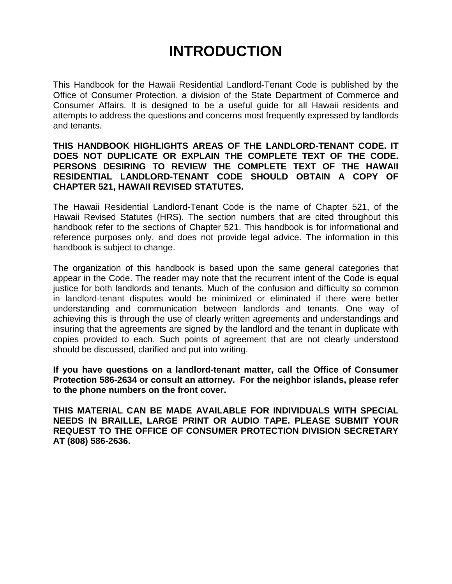## **INTRODUCTION**

This Handbook for the Hawaii Residential Landlord-Tenant Code is published by the Office of Consumer Protection, a division of the State Department of Commerce and Consumer Affairs. It is designed to be a useful guide for all Hawaii residents and attempts to address the questions and concerns most frequently expressed by landlords and tenants.

#### **THIS HANDBOOK HIGHLIGHTS AREAS OF THE LANDLORD-TENANT CODE. IT DOES NOT DUPLICATE OR EXPLAIN THE COMPLETE TEXT OF THE CODE. PERSONS DESIRING TO REVIEW THE COMPLETE TEXT OF THE HAWAII RESIDENTIAL LANDLORD-TENANT CODE SHOULD OBTAIN A COPY OF CHAPTER 521, HAWAII REVISED STATUTES.**

The Hawaii Residential Landlord-Tenant Code is the name of Chapter 521, of the Hawaii Revised Statutes (HRS). The section numbers that are cited throughout this handbook refer to the sections of Chapter 521. This handbook is for informational and reference purposes only, and does not provide legal advice. The information in this handbook is subject to change.

The organization of this handbook is based upon the same general categories that appear in the Code. The reader may note that the recurrent intent of the Code is equal justice for both landlords and tenants. Much of the confusion and difficulty so common in landlord-tenant disputes would be minimized or eliminated if there were better understanding and communication between landlords and tenants. One way of achieving this is through the use of clearly written agreements and understandings and insuring that the agreements are signed by the landlord and the tenant in duplicate with copies provided to each. Such points of agreement that are not clearly understood should be discussed, clarified and put into writing.

**If you have questions on a landlord-tenant matter, call the Office of Consumer Protection 586-2634 or consult an attorney. For the neighbor islands, please refer to the phone numbers on the front cover.**

**THIS MATERIAL CAN BE MADE AVAILABLE FOR INDIVIDUALS WITH SPECIAL NEEDS IN BRAILLE, LARGE PRINT OR AUDIO TAPE. PLEASE SUBMIT YOUR REQUEST TO THE OFFICE OF CONSUMER PROTECTION DIVISION SECRETARY AT (808) 586-2636.**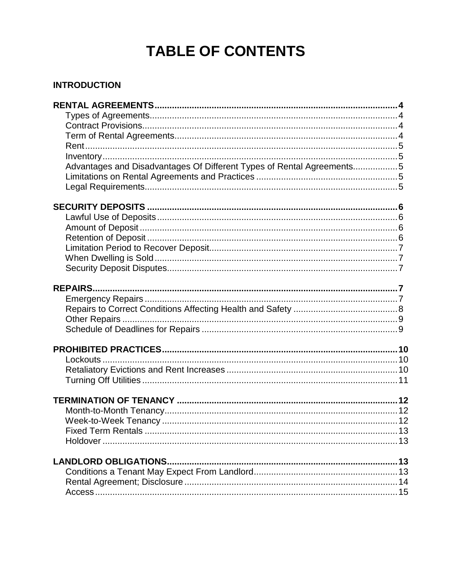# **TABLE OF CONTENTS**

### **INTRODUCTION**

| Advantages and Disadvantages Of Different Types of Rental Agreements5 |  |
|-----------------------------------------------------------------------|--|
|                                                                       |  |
|                                                                       |  |
|                                                                       |  |
|                                                                       |  |
|                                                                       |  |
|                                                                       |  |
|                                                                       |  |
|                                                                       |  |
|                                                                       |  |
|                                                                       |  |
|                                                                       |  |
|                                                                       |  |
|                                                                       |  |
|                                                                       |  |
|                                                                       |  |
|                                                                       |  |
|                                                                       |  |
|                                                                       |  |
|                                                                       |  |
|                                                                       |  |
|                                                                       |  |
|                                                                       |  |
|                                                                       |  |
| <b>LANDLORD OBLIGATIONS.</b>                                          |  |
|                                                                       |  |
|                                                                       |  |
|                                                                       |  |
|                                                                       |  |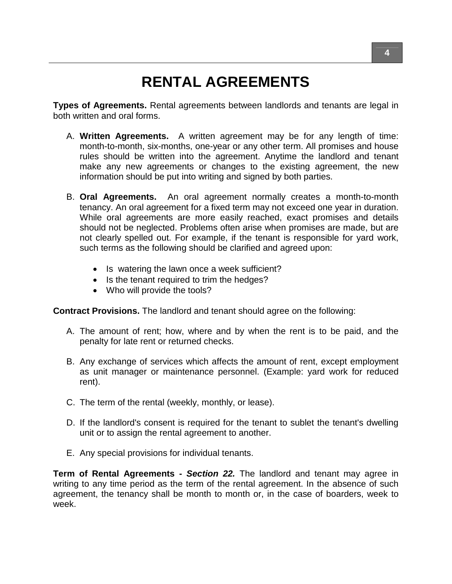# **RENTAL AGREEMENTS**

**Types of Agreements.** Rental agreements between landlords and tenants are legal in both written and oral forms.

- A. **Written Agreements.** A written agreement may be for any length of time: month-to-month, six-months, one-year or any other term. All promises and house rules should be written into the agreement. Anytime the landlord and tenant make any new agreements or changes to the existing agreement, the new information should be put into writing and signed by both parties.
- B. **Oral Agreements.** An oral agreement normally creates a month-to-month tenancy. An oral agreement for a fixed term may not exceed one year in duration. While oral agreements are more easily reached, exact promises and details should not be neglected. Problems often arise when promises are made, but are not clearly spelled out. For example, if the tenant is responsible for yard work, such terms as the following should be clarified and agreed upon:
	- Is watering the lawn once a week sufficient?
	- Is the tenant required to trim the hedges?
	- Who will provide the tools?

**Contract Provisions.** The landlord and tenant should agree on the following:

- A. The amount of rent; how, where and by when the rent is to be paid, and the penalty for late rent or returned checks.
- B. Any exchange of services which affects the amount of rent, except employment as unit manager or maintenance personnel. (Example: yard work for reduced rent).
- C. The term of the rental (weekly, monthly, or lease).
- D. If the landlord's consent is required for the tenant to sublet the tenant's dwelling unit or to assign the rental agreement to another.
- E. Any special provisions for individual tenants.

**Term of Rental Agreements -** *Section 22.* The landlord and tenant may agree in writing to any time period as the term of the rental agreement. In the absence of such agreement, the tenancy shall be month to month or, in the case of boarders, week to week.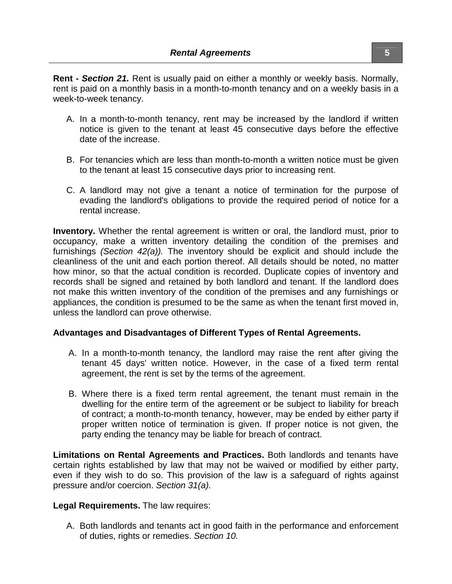**Rent -** *Section 21.* Rent is usually paid on either a monthly or weekly basis. Normally, rent is paid on a monthly basis in a month-to-month tenancy and on a weekly basis in a week-to-week tenancy.

- A. In a month-to-month tenancy, rent may be increased by the landlord if written notice is given to the tenant at least 45 consecutive days before the effective date of the increase.
- B. For tenancies which are less than month-to-month a written notice must be given to the tenant at least 15 consecutive days prior to increasing rent.
- C. A landlord may not give a tenant a notice of termination for the purpose of evading the landlord's obligations to provide the required period of notice for a rental increase.

**Inventory.** Whether the rental agreement is written or oral, the landlord must, prior to occupancy, make a written inventory detailing the condition of the premises and furnishings *(Section 42(a)).* The inventory should be explicit and should include the cleanliness of the unit and each portion thereof. All details should be noted, no matter how minor, so that the actual condition is recorded. Duplicate copies of inventory and records shall be signed and retained by both landlord and tenant. If the landlord does not make this written inventory of the condition of the premises and any furnishings or appliances, the condition is presumed to be the same as when the tenant first moved in, unless the landlord can prove otherwise.

#### **Advantages and Disadvantages of Different Types of Rental Agreements.**

- A. In a month-to-month tenancy, the landlord may raise the rent after giving the tenant 45 days' written notice. However, in the case of a fixed term rental agreement, the rent is set by the terms of the agreement.
- B. Where there is a fixed term rental agreement, the tenant must remain in the dwelling for the entire term of the agreement or be subject to liability for breach of contract; a month-to-month tenancy, however, may be ended by either party if proper written notice of termination is given. If proper notice is not given, the party ending the tenancy may be liable for breach of contract.

**Limitations on Rental Agreements and Practices.** Both landlords and tenants have certain rights established by law that may not be waived or modified by either party, even if they wish to do so. This provision of the law is a safeguard of rights against pressure and/or coercion. *Section 31(a).*

#### **Legal Requirements.** The law requires:

A. Both landlords and tenants act in good faith in the performance and enforcement of duties, rights or remedies. *Section 10.*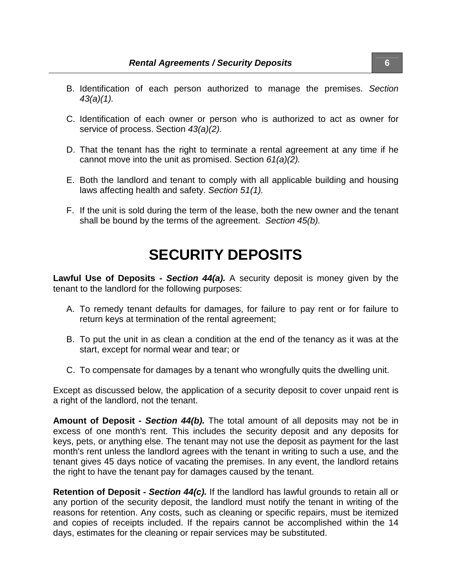- B. Identification of each person authorized to manage the premises. *Section 43(a)(1).*
- C. Identification of each owner or person who is authorized to act as owner for service of process. Section *43(a)(2).*
- D. That the tenant has the right to terminate a rental agreement at any time if he cannot move into the unit as promised. Section *61(a)(2).*
- E. Both the landlord and tenant to comply with all applicable building and housing laws affecting health and safety. *Section 51(1).*
- F. If the unit is sold during the term of the lease, both the new owner and the tenant shall be bound by the terms of the agreement. *Section 45(b).*

### **SECURITY DEPOSITS**

**Lawful Use of Deposits -** *Section 44(a).* A security deposit is money given by the tenant to the landlord for the following purposes:

- A. To remedy tenant defaults for damages, for failure to pay rent or for failure to return keys at termination of the rental agreement;
- B. To put the unit in as clean a condition at the end of the tenancy as it was at the start, except for normal wear and tear; or
- C. To compensate for damages by a tenant who wrongfully quits the dwelling unit.

Except as discussed below, the application of a security deposit to cover unpaid rent is a right of the landlord, not the tenant.

**Amount of Deposit -** *Section 44(b).* The total amount of all deposits may not be in excess of one month's rent. This includes the security deposit and any deposits for keys, pets, or anything else. The tenant may not use the deposit as payment for the last month's rent unless the landlord agrees with the tenant in writing to such a use, and the tenant gives 45 days notice of vacating the premises. In any event, the landlord retains the right to have the tenant pay for damages caused by the tenant.

**Retention of Deposit -** *Section 44(c).* If the landlord has lawful grounds to retain all or any portion of the security deposit, the landlord must notify the tenant in writing of the reasons for retention. Any costs, such as cleaning or specific repairs, must be itemized and copies of receipts included. If the repairs cannot be accomplished within the 14 days, estimates for the cleaning or repair services may be substituted.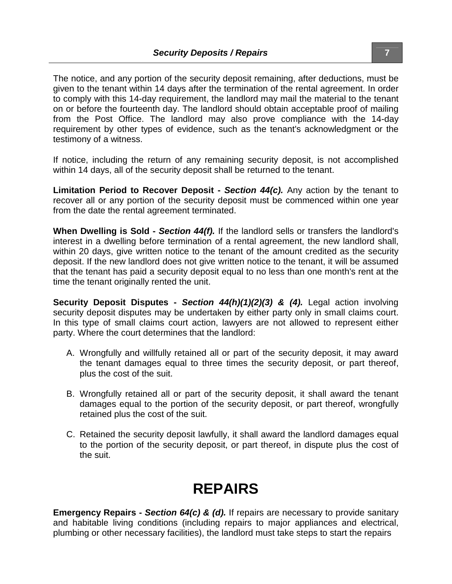The notice, and any portion of the security deposit remaining, after deductions, must be given to the tenant within 14 days after the termination of the rental agreement. In order to comply with this 14-day requirement, the landlord may mail the material to the tenant on or before the fourteenth day. The landlord should obtain acceptable proof of mailing from the Post Office. The landlord may also prove compliance with the 14-day requirement by other types of evidence, such as the tenant's acknowledgment or the testimony of a witness.

If notice, including the return of any remaining security deposit, is not accomplished within 14 days, all of the security deposit shall be returned to the tenant.

**Limitation Period to Recover Deposit -** *Section 44(c).* Any action by the tenant to recover all or any portion of the security deposit must be commenced within one year from the date the rental agreement terminated.

**When Dwelling is Sold -** *Section 44(f).* If the landlord sells or transfers the landlord's interest in a dwelling before termination of a rental agreement, the new landlord shall, within 20 days, give written notice to the tenant of the amount credited as the security deposit. If the new landlord does not give written notice to the tenant, it will be assumed that the tenant has paid a security deposit equal to no less than one month's rent at the time the tenant originally rented the unit.

**Security Deposit Disputes -** *Section 44(h)(1)(2)(3) & (4).* Legal action involving security deposit disputes may be undertaken by either party only in small claims court. In this type of small claims court action, lawyers are not allowed to represent either party. Where the court determines that the landlord:

- A. Wrongfully and willfully retained all or part of the security deposit, it may award the tenant damages equal to three times the security deposit, or part thereof, plus the cost of the suit.
- B. Wrongfully retained all or part of the security deposit, it shall award the tenant damages equal to the portion of the security deposit, or part thereof, wrongfully retained plus the cost of the suit.
- C. Retained the security deposit lawfully, it shall award the landlord damages equal to the portion of the security deposit, or part thereof, in dispute plus the cost of the suit.

# **REPAIRS**

**Emergency Repairs -** *Section 64(c) & (d).* If repairs are necessary to provide sanitary and habitable living conditions (including repairs to major appliances and electrical, plumbing or other necessary facilities), the landlord must take steps to start the repairs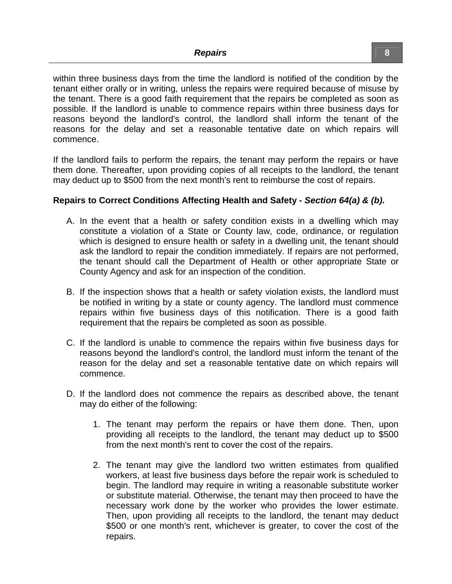within three business days from the time the landlord is notified of the condition by the tenant either orally or in writing, unless the repairs were required because of misuse by the tenant. There is a good faith requirement that the repairs be completed as soon as possible. If the landlord is unable to commence repairs within three business days for reasons beyond the landlord's control, the landlord shall inform the tenant of the reasons for the delay and set a reasonable tentative date on which repairs will commence.

If the landlord fails to perform the repairs, the tenant may perform the repairs or have them done. Thereafter, upon providing copies of all receipts to the landlord, the tenant may deduct up to \$500 from the next month's rent to reimburse the cost of repairs.

#### **Repairs to Correct Conditions Affecting Health and Safety** *- Section 64(a) & (b).*

- A. In the event that a health or safety condition exists in a dwelling which may constitute a violation of a State or County law, code, ordinance, or regulation which is designed to ensure health or safety in a dwelling unit, the tenant should ask the landlord to repair the condition immediately. If repairs are not performed, the tenant should call the Department of Health or other appropriate State or County Agency and ask for an inspection of the condition.
- B. If the inspection shows that a health or safety violation exists, the landlord must be notified in writing by a state or county agency. The landlord must commence repairs within five business days of this notification. There is a good faith requirement that the repairs be completed as soon as possible.
- C. If the landlord is unable to commence the repairs within five business days for reasons beyond the landlord's control, the landlord must inform the tenant of the reason for the delay and set a reasonable tentative date on which repairs will commence.
- D. If the landlord does not commence the repairs as described above, the tenant may do either of the following:
	- 1. The tenant may perform the repairs or have them done. Then, upon providing all receipts to the landlord, the tenant may deduct up to \$500 from the next month's rent to cover the cost of the repairs.
	- 2. The tenant may give the landlord two written estimates from qualified workers, at least five business days before the repair work is scheduled to begin. The landlord may require in writing a reasonable substitute worker or substitute material. Otherwise, the tenant may then proceed to have the necessary work done by the worker who provides the lower estimate. Then, upon providing all receipts to the landlord, the tenant may deduct \$500 or one month's rent, whichever is greater, to cover the cost of the repairs.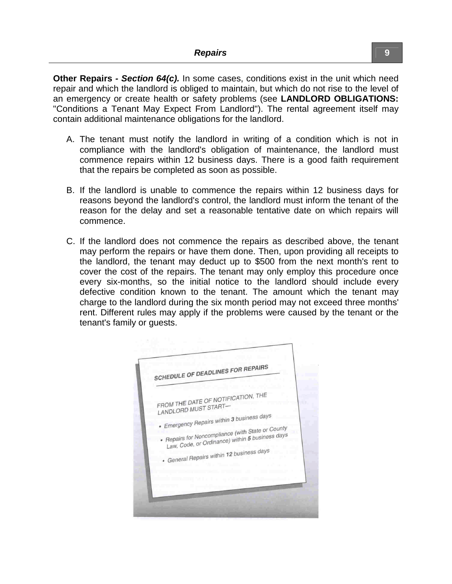**Other Repairs** *- Section 64(c).* In some cases, conditions exist in the unit which need repair and which the landlord is obliged to maintain, but which do not rise to the level of an emergency or create health or safety problems (see **LANDLORD OBLIGATIONS:** "Conditions a Tenant May Expect From Landlord"). The rental agreement itself may contain additional maintenance obligations for the landlord.

- A. The tenant must notify the landlord in writing of a condition which is not in compliance with the landlord's obligation of maintenance, the landlord must commence repairs within 12 business days. There is a good faith requirement that the repairs be completed as soon as possible.
- B. If the landlord is unable to commence the repairs within 12 business days for reasons beyond the landlord's control, the landlord must inform the tenant of the reason for the delay and set a reasonable tentative date on which repairs will commence.
- C. If the landlord does not commence the repairs as described above, the tenant may perform the repairs or have them done. Then, upon providing all receipts to the landlord, the tenant may deduct up to \$500 from the next month's rent to cover the cost of the repairs. The tenant may only employ this procedure once every six-months, so the initial notice to the landlord should include every defective condition known to the tenant. The amount which the tenant may charge to the landlord during the six month period may not exceed three months' rent. Different rules may apply if the problems were caused by the tenant or the tenant's family or guests.

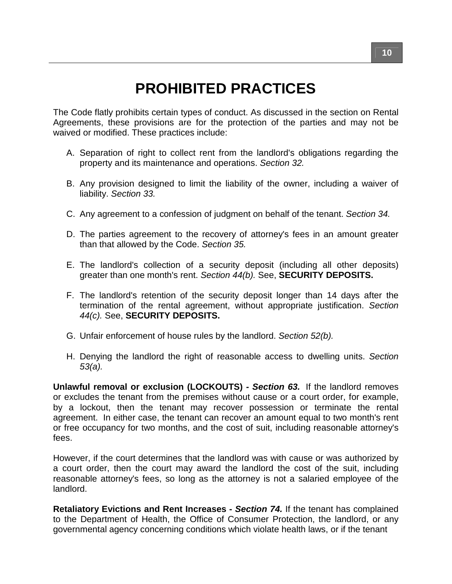# **PROHIBITED PRACTICES**

The Code flatly prohibits certain types of conduct. As discussed in the section on Rental Agreements, these provisions are for the protection of the parties and may not be waived or modified. These practices include:

- A. Separation of right to collect rent from the landlord's obligations regarding the property and its maintenance and operations. *Section 32.*
- B. Any provision designed to limit the liability of the owner, including a waiver of liability. *Section 33.*
- C. Any agreement to a confession of judgment on behalf of the tenant. *Section 34.*
- D. The parties agreement to the recovery of attorney's fees in an amount greater than that allowed by the Code. *Section 35.*
- E. The landlord's collection of a security deposit (including all other deposits) greater than one month's rent. *Section 44(b).* See, **SECURITY DEPOSITS.**
- F. The landlord's retention of the security deposit longer than 14 days after the termination of the rental agreement, without appropriate justification. *Section 44(c).* See, **SECURITY DEPOSITS.**
- G. Unfair enforcement of house rules by the landlord. *Section 52(b).*
- H. Denying the landlord the right of reasonable access to dwelling units. *Section 53(a).*

**Unlawful removal or exclusion (LOCKOUTS)** *- Section 63.* If the landlord removes or excludes the tenant from the premises without cause or a court order, for example, by a lockout, then the tenant may recover possession or terminate the rental agreement. In either case, the tenant can recover an amount equal to two month's rent or free occupancy for two months, and the cost of suit, including reasonable attorney's fees.

However, if the court determines that the landlord was with cause or was authorized by a court order, then the court may award the landlord the cost of the suit, including reasonable attorney's fees, so long as the attorney is not a salaried employee of the landlord.

**Retaliatory Evictions and Rent Increases -** *Section 74.* If the tenant has complained to the Department of Health, the Office of Consumer Protection, the landlord, or any governmental agency concerning conditions which violate health laws, or if the tenant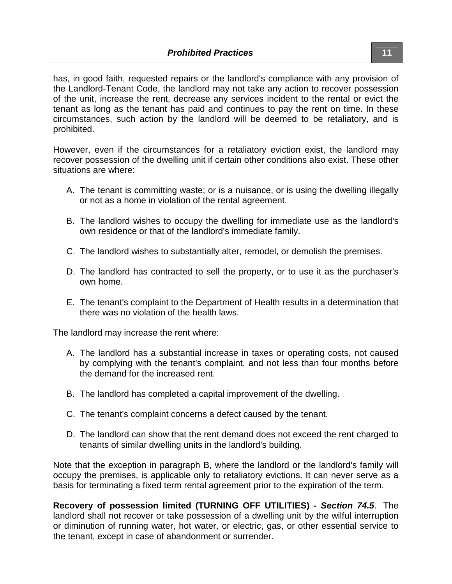has, in good faith, requested repairs or the landlord's compliance with any provision of the Landlord-Tenant Code, the landlord may not take any action to recover possession of the unit, increase the rent, decrease any services incident to the rental or evict the tenant as long as the tenant has paid and continues to pay the rent on time. In these circumstances, such action by the landlord will be deemed to be retaliatory, and is prohibited.

However, even if the circumstances for a retaliatory eviction exist, the landlord may recover possession of the dwelling unit if certain other conditions also exist. These other situations are where:

- A. The tenant is committing waste; or is a nuisance, or is using the dwelling illegally or not as a home in violation of the rental agreement.
- B. The landlord wishes to occupy the dwelling for immediate use as the landlord's own residence or that of the landlord's immediate family.
- C. The landlord wishes to substantially alter, remodel, or demolish the premises.
- D. The landlord has contracted to sell the property, or to use it as the purchaser's own home.
- E. The tenant's complaint to the Department of Health results in a determination that there was no violation of the health laws.

The landlord may increase the rent where:

- A. The landlord has a substantial increase in taxes or operating costs, not caused by complying with the tenant's complaint, and not less than four months before the demand for the increased rent.
- B. The landlord has completed a capital improvement of the dwelling.
- C. The tenant's complaint concerns a defect caused by the tenant.
- D. The landlord can show that the rent demand does not exceed the rent charged to tenants of similar dwelling units in the landlord's building.

Note that the exception in paragraph B, where the landlord or the landlord's family will occupy the premises, is applicable only to retaliatory evictions. It can never serve as a basis for terminating a fixed term rental agreement prior to the expiration of the term.

**Recovery of possession limited (TURNING OFF UTILITIES) -** *Section 74.5*. The landlord shall not recover or take possession of a dwelling unit by the wilful interruption or diminution of running water, hot water, or electric, gas, or other essential service to the tenant, except in case of abandonment or surrender.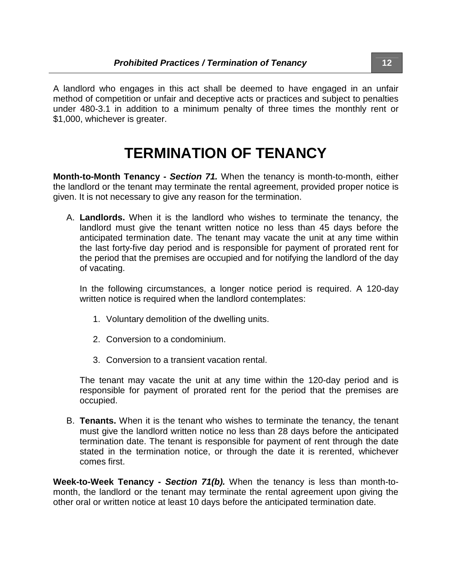A landlord who engages in this act shall be deemed to have engaged in an unfair method of competition or unfair and deceptive acts or practices and subject to penalties under 480-3.1 in addition to a minimum penalty of three times the monthly rent or \$1,000, whichever is greater.

### **TERMINATION OF TENANCY**

**Month-to-Month Tenancy -** *Section 71.* When the tenancy is month-to-month, either the landlord or the tenant may terminate the rental agreement, provided proper notice is given. It is not necessary to give any reason for the termination.

A. **Landlords.** When it is the landlord who wishes to terminate the tenancy, the landlord must give the tenant written notice no less than 45 days before the anticipated termination date. The tenant may vacate the unit at any time within the last forty-five day period and is responsible for payment of prorated rent for the period that the premises are occupied and for notifying the landlord of the day of vacating.

In the following circumstances, a longer notice period is required. A 120-day written notice is required when the landlord contemplates:

- 1. Voluntary demolition of the dwelling units.
- 2. Conversion to a condominium.
- 3. Conversion to a transient vacation rental.

The tenant may vacate the unit at any time within the 120-day period and is responsible for payment of prorated rent for the period that the premises are occupied.

B. **Tenants.** When it is the tenant who wishes to terminate the tenancy, the tenant must give the landlord written notice no less than 28 days before the anticipated termination date. The tenant is responsible for payment of rent through the date stated in the termination notice, or through the date it is rerented, whichever comes first.

**Week-to-Week Tenancy -** *Section 71(b).* When the tenancy is less than month-tomonth, the landlord or the tenant may terminate the rental agreement upon giving the other oral or written notice at least 10 days before the anticipated termination date.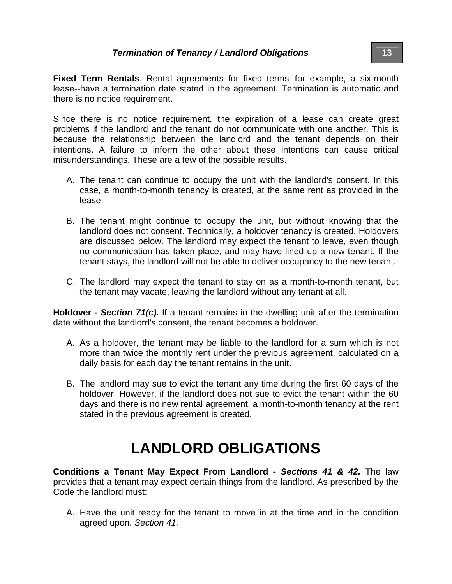**Fixed Term Rentals**. Rental agreements for fixed terms--for example, a six-month lease--have a termination date stated in the agreement. Termination is automatic and there is no notice requirement.

Since there is no notice requirement, the expiration of a lease can create great problems if the landlord and the tenant do not communicate with one another. This is because the relationship between the landlord and the tenant depends on their intentions. A failure to inform the other about these intentions can cause critical misunderstandings. These are a few of the possible results.

- A. The tenant can continue to occupy the unit with the landlord's consent. In this case, a month-to-month tenancy is created, at the same rent as provided in the lease.
- B. The tenant might continue to occupy the unit, but without knowing that the landlord does not consent. Technically, a holdover tenancy is created. Holdovers are discussed below. The landlord may expect the tenant to leave, even though no communication has taken place, and may have lined up a new tenant. If the tenant stays, the landlord will not be able to deliver occupancy to the new tenant.
- C. The landlord may expect the tenant to stay on as a month-to-month tenant, but the tenant may vacate, leaving the landlord without any tenant at all.

**Holdover -** *Section 71(c).* If a tenant remains in the dwelling unit after the termination date without the landlord's consent, the tenant becomes a holdover.

- A. As a holdover, the tenant may be liable to the landlord for a sum which is not more than twice the monthly rent under the previous agreement, calculated on a daily basis for each day the tenant remains in the unit.
- B. The landlord may sue to evict the tenant any time during the first 60 days of the holdover. However, if the landlord does not sue to evict the tenant within the 60 days and there is no new rental agreement, a month-to-month tenancy at the rent stated in the previous agreement is created.

## **LANDLORD OBLIGATIONS**

**Conditions a Tenant May Expect From Landlord -** *Sections 41 & 42.* The law provides that a tenant may expect certain things from the landlord. As prescribed by the Code the landlord must:

A. Have the unit ready for the tenant to move in at the time and in the condition agreed upon. *Section 41.*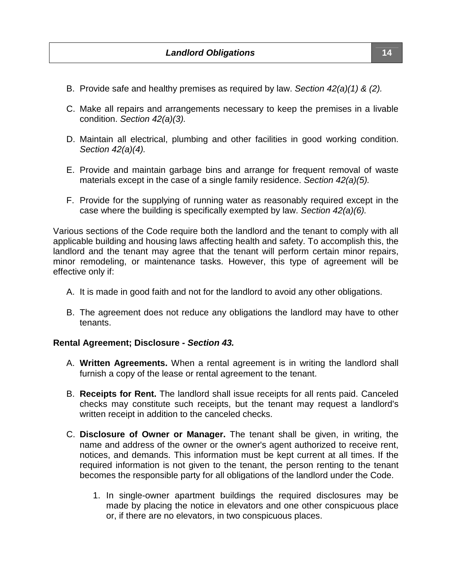- B. Provide safe and healthy premises as required by law. *Section 42(a)(1) & (2).*
- C. Make all repairs and arrangements necessary to keep the premises in a livable condition. *Section 42(a)(3).*
- D. Maintain all electrical, plumbing and other facilities in good working condition. *Section 42(a)(4).*
- E. Provide and maintain garbage bins and arrange for frequent removal of waste materials except in the case of a single family residence. *Section 42(a)(5).*
- F. Provide for the supplying of running water as reasonably required except in the case where the building is specifically exempted by law. *Section 42(a)(6).*

Various sections of the Code require both the landlord and the tenant to comply with all applicable building and housing laws affecting health and safety. To accomplish this, the landlord and the tenant may agree that the tenant will perform certain minor repairs, minor remodeling, or maintenance tasks. However, this type of agreement will be effective only if:

- A. It is made in good faith and not for the landlord to avoid any other obligations.
- B. The agreement does not reduce any obligations the landlord may have to other tenants.

#### **Rental Agreement; Disclosure -** *Section 43.*

- A. **Written Agreements.** When a rental agreement is in writing the landlord shall furnish a copy of the lease or rental agreement to the tenant.
- B. **Receipts for Rent.** The landlord shall issue receipts for all rents paid. Canceled checks may constitute such receipts, but the tenant may request a landlord's written receipt in addition to the canceled checks.
- C. **Disclosure of Owner or Manager.** The tenant shall be given, in writing, the name and address of the owner or the owner's agent authorized to receive rent, notices, and demands. This information must be kept current at all times. If the required information is not given to the tenant, the person renting to the tenant becomes the responsible party for all obligations of the landlord under the Code.
	- 1. In single-owner apartment buildings the required disclosures may be made by placing the notice in elevators and one other conspicuous place or, if there are no elevators, in two conspicuous places.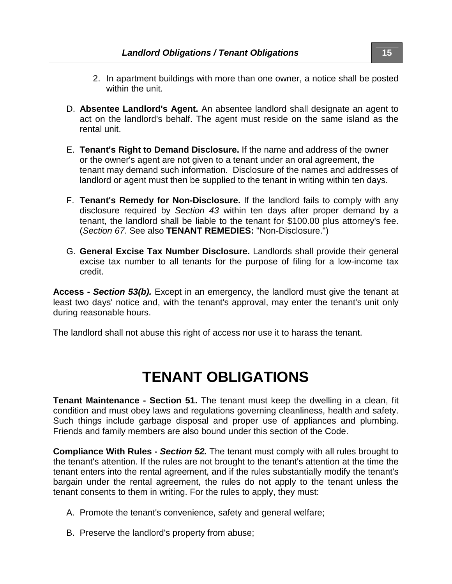- 2. In apartment buildings with more than one owner, a notice shall be posted within the unit.
- D. **Absentee Landlord's Agent.** An absentee landlord shall designate an agent to act on the landlord's behalf. The agent must reside on the same island as the rental unit.
- E. **Tenant's Right to Demand Disclosure.** If the name and address of the owner or the owner's agent are not given to a tenant under an oral agreement, the tenant may demand such information. Disclosure of the names and addresses of landlord or agent must then be supplied to the tenant in writing within ten days.
- F. **Tenant's Remedy for Non-Disclosure.** If the landlord fails to comply with any disclosure required by *Section 43* within ten days after proper demand by a tenant, the landlord shall be liable to the tenant for \$100.00 plus attorney's fee. (*Section 67*. See also **TENANT REMEDIES:** "Non-Disclosure.")
- G. **General Excise Tax Number Disclosure.** Landlords shall provide their general excise tax number to all tenants for the purpose of filing for a low-income tax credit.

**Access -** *Section 53(b).* Except in an emergency, the landlord must give the tenant at least two days' notice and, with the tenant's approval, may enter the tenant's unit only during reasonable hours.

The landlord shall not abuse this right of access nor use it to harass the tenant.

### **TENANT OBLIGATIONS**

**Tenant Maintenance - Section 51.** The tenant must keep the dwelling in a clean, fit condition and must obey laws and regulations governing cleanliness, health and safety. Such things include garbage disposal and proper use of appliances and plumbing. Friends and family members are also bound under this section of the Code.

**Compliance With Rules -** *Section 52.* The tenant must comply with all rules brought to the tenant's attention. If the rules are not brought to the tenant's attention at the time the tenant enters into the rental agreement, and if the rules substantially modify the tenant's bargain under the rental agreement, the rules do not apply to the tenant unless the tenant consents to them in writing. For the rules to apply, they must:

- A. Promote the tenant's convenience, safety and general welfare;
- B. Preserve the landlord's property from abuse;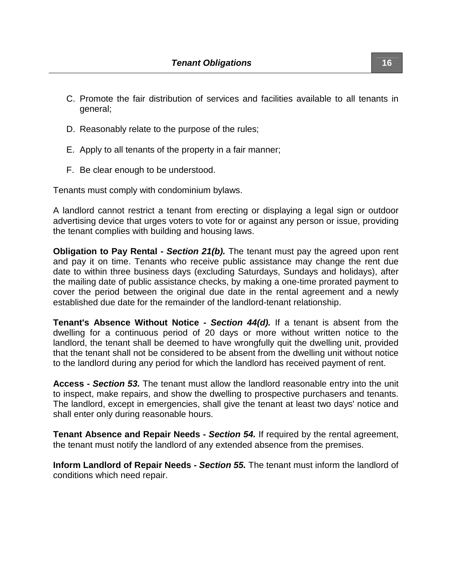- C. Promote the fair distribution of services and facilities available to all tenants in general;
- D. Reasonably relate to the purpose of the rules;
- E. Apply to all tenants of the property in a fair manner;
- F. Be clear enough to be understood.

Tenants must comply with condominium bylaws.

A landlord cannot restrict a tenant from erecting or displaying a legal sign or outdoor advertising device that urges voters to vote for or against any person or issue, providing the tenant complies with building and housing laws.

**Obligation to Pay Rental - Section 21(b).** The tenant must pay the agreed upon rent and pay it on time. Tenants who receive public assistance may change the rent due date to within three business days (excluding Saturdays, Sundays and holidays), after the mailing date of public assistance checks, by making a one-time prorated payment to cover the period between the original due date in the rental agreement and a newly established due date for the remainder of the landlord-tenant relationship.

**Tenant's Absence Without Notice -** *Section 44(d).* If a tenant is absent from the dwelling for a continuous period of 20 days or more without written notice to the landlord, the tenant shall be deemed to have wrongfully quit the dwelling unit, provided that the tenant shall not be considered to be absent from the dwelling unit without notice to the landlord during any period for which the landlord has received payment of rent.

**Access -** *Section 53.* The tenant must allow the landlord reasonable entry into the unit to inspect, make repairs, and show the dwelling to prospective purchasers and tenants. The landlord, except in emergencies, shall give the tenant at least two days' notice and shall enter only during reasonable hours.

**Tenant Absence and Repair Needs -** *Section 54.* If required by the rental agreement, the tenant must notify the landlord of any extended absence from the premises.

**Inform Landlord of Repair Needs -** *Section 55.* The tenant must inform the landlord of conditions which need repair.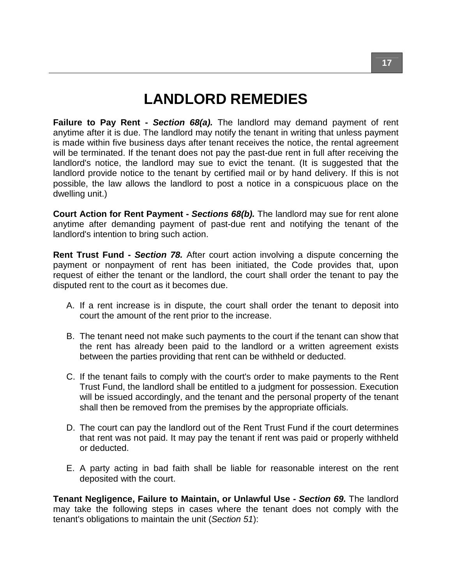## **LANDLORD REMEDIES**

**Failure to Pay Rent -** *Section 68(a).* The landlord may demand payment of rent anytime after it is due. The landlord may notify the tenant in writing that unless payment is made within five business days after tenant receives the notice, the rental agreement will be terminated. If the tenant does not pay the past-due rent in full after receiving the landlord's notice, the landlord may sue to evict the tenant. (It is suggested that the landlord provide notice to the tenant by certified mail or by hand delivery. If this is not possible, the law allows the landlord to post a notice in a conspicuous place on the dwelling unit.)

**Court Action for Rent Payment -** *Sections 68(b).* The landlord may sue for rent alone anytime after demanding payment of past-due rent and notifying the tenant of the landlord's intention to bring such action.

**Rent Trust Fund -** *Section 78.* After court action involving a dispute concerning the payment or nonpayment of rent has been initiated, the Code provides that, upon request of either the tenant or the landlord, the court shall order the tenant to pay the disputed rent to the court as it becomes due.

- A. If a rent increase is in dispute, the court shall order the tenant to deposit into court the amount of the rent prior to the increase.
- B. The tenant need not make such payments to the court if the tenant can show that the rent has already been paid to the landlord or a written agreement exists between the parties providing that rent can be withheld or deducted.
- C. If the tenant fails to comply with the court's order to make payments to the Rent Trust Fund, the landlord shall be entitled to a judgment for possession. Execution will be issued accordingly, and the tenant and the personal property of the tenant shall then be removed from the premises by the appropriate officials.
- D. The court can pay the landlord out of the Rent Trust Fund if the court determines that rent was not paid. It may pay the tenant if rent was paid or properly withheld or deducted.
- E. A party acting in bad faith shall be liable for reasonable interest on the rent deposited with the court.

**Tenant Negligence, Failure to Maintain, or Unlawful Use -** *Section 69.* The landlord may take the following steps in cases where the tenant does not comply with the tenant's obligations to maintain the unit (*Section 51*):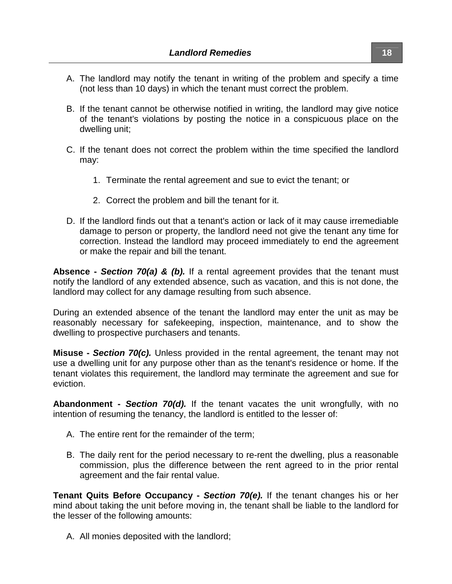- A. The landlord may notify the tenant in writing of the problem and specify a time (not less than 10 days) in which the tenant must correct the problem.
- B. If the tenant cannot be otherwise notified in writing, the landlord may give notice of the tenant's violations by posting the notice in a conspicuous place on the dwelling unit;
- C. If the tenant does not correct the problem within the time specified the landlord may:
	- 1. Terminate the rental agreement and sue to evict the tenant; or
	- 2. Correct the problem and bill the tenant for it.
- D. If the landlord finds out that a tenant's action or lack of it may cause irremediable damage to person or property, the landlord need not give the tenant any time for correction. Instead the landlord may proceed immediately to end the agreement or make the repair and bill the tenant.

**Absence -** *Section 70(a) & (b).* If a rental agreement provides that the tenant must notify the landlord of any extended absence, such as vacation, and this is not done, the landlord may collect for any damage resulting from such absence.

During an extended absence of the tenant the landlord may enter the unit as may be reasonably necessary for safekeeping, inspection, maintenance, and to show the dwelling to prospective purchasers and tenants.

**Misuse -** *Section 70(c).* Unless provided in the rental agreement, the tenant may not use a dwelling unit for any purpose other than as the tenant's residence or home. If the tenant violates this requirement, the landlord may terminate the agreement and sue for eviction.

**Abandonment -** *Section 70(d).* If the tenant vacates the unit wrongfully, with no intention of resuming the tenancy, the landlord is entitled to the lesser of:

- A. The entire rent for the remainder of the term;
- B. The daily rent for the period necessary to re-rent the dwelling, plus a reasonable commission, plus the difference between the rent agreed to in the prior rental agreement and the fair rental value.

**Tenant Quits Before Occupancy -** *Section 70(e).* If the tenant changes his or her mind about taking the unit before moving in, the tenant shall be liable to the landlord for the lesser of the following amounts:

A. All monies deposited with the landlord;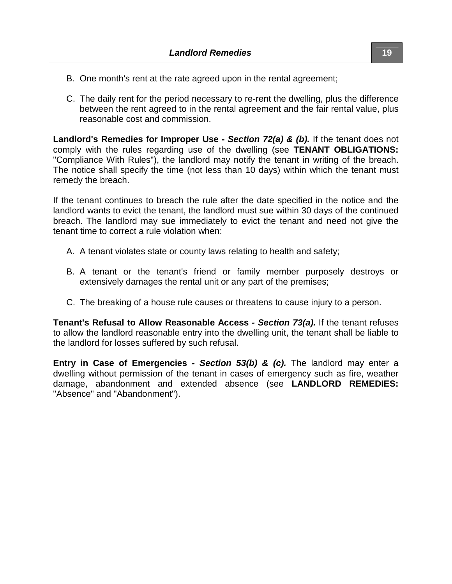- B. One month's rent at the rate agreed upon in the rental agreement;
- C. The daily rent for the period necessary to re-rent the dwelling, plus the difference between the rent agreed to in the rental agreement and the fair rental value, plus reasonable cost and commission.

**Landlord's Remedies for Improper Use -** *Section 72(a) & (b).* If the tenant does not comply with the rules regarding use of the dwelling (see **TENANT OBLIGATIONS:** "Compliance With Rules"), the landlord may notify the tenant in writing of the breach. The notice shall specify the time (not less than 10 days) within which the tenant must remedy the breach.

If the tenant continues to breach the rule after the date specified in the notice and the landlord wants to evict the tenant, the landlord must sue within 30 days of the continued breach. The landlord may sue immediately to evict the tenant and need not give the tenant time to correct a rule violation when:

- A. A tenant violates state or county laws relating to health and safety;
- B. A tenant or the tenant's friend or family member purposely destroys or extensively damages the rental unit or any part of the premises;
- C. The breaking of a house rule causes or threatens to cause injury to a person.

**Tenant's Refusal to Allow Reasonable Access** *- Section 73(a).* If the tenant refuses to allow the landlord reasonable entry into the dwelling unit, the tenant shall be liable to the landlord for losses suffered by such refusal.

**Entry in Case of Emergencies** *- Section 53(b) & (c).* The landlord may enter a dwelling without permission of the tenant in cases of emergency such as fire, weather damage, abandonment and extended absence (see **LANDLORD REMEDIES:** "Absence" and "Abandonment").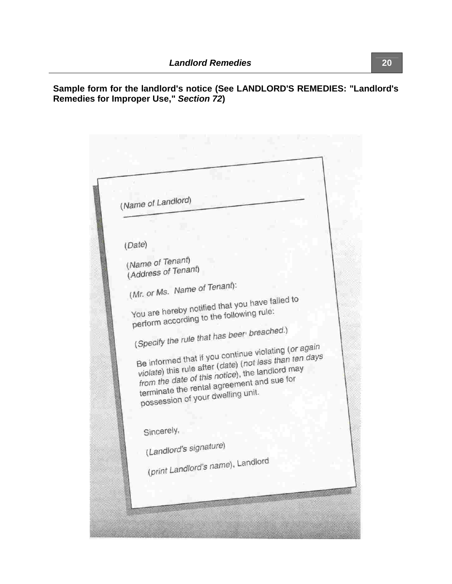| (Name of Landlord)                                                                            |
|-----------------------------------------------------------------------------------------------|
|                                                                                               |
|                                                                                               |
| (Date)                                                                                        |
| (Name of Tenant)                                                                              |
| (Address of Tenant)                                                                           |
| (Mr. or Ms. Name of Tenant):                                                                  |
| You are hereby notified that you have failed to                                               |
| perform according to the following rule:                                                      |
|                                                                                               |
| (Specify the rule that has been breached.)                                                    |
| Be informed that if you continue violating (or again                                          |
| violate) this rule after (date) (not less than ten days                                       |
| from the date of this notice), the landlord may<br>terminate the rental agreement and sue for |
| possession of your dwelling unit.                                                             |
|                                                                                               |
|                                                                                               |
| Sincerely,                                                                                    |
| (Landlord's signature)                                                                        |
| (print Landlord's name), Landlord                                                             |
|                                                                                               |

**Sample form for the landlord's notice (See LANDLORD'S REMEDIES: "Landlord's Remedies for Improper Use,"** *Section 72***)**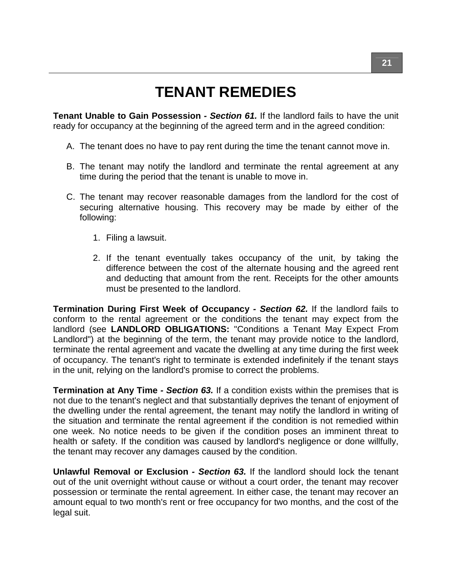# **TENANT REMEDIES**

**Tenant Unable to Gain Possession** *- Section 61.* If the landlord fails to have the unit ready for occupancy at the beginning of the agreed term and in the agreed condition:

- A. The tenant does no have to pay rent during the time the tenant cannot move in.
- B. The tenant may notify the landlord and terminate the rental agreement at any time during the period that the tenant is unable to move in.
- C. The tenant may recover reasonable damages from the landlord for the cost of securing alternative housing. This recovery may be made by either of the following:
	- 1. Filing a lawsuit.
	- 2. If the tenant eventually takes occupancy of the unit, by taking the difference between the cost of the alternate housing and the agreed rent and deducting that amount from the rent. Receipts for the other amounts must be presented to the landlord.

**Termination During First Week of Occupancy** *- Section 62.* If the landlord fails to conform to the rental agreement or the conditions the tenant may expect from the landlord (see **LANDLORD OBLIGATIONS:** "Conditions a Tenant May Expect From Landlord") at the beginning of the term, the tenant may provide notice to the landlord, terminate the rental agreement and vacate the dwelling at any time during the first week of occupancy. The tenant's right to terminate is extended indefinitely if the tenant stays in the unit, relying on the landlord's promise to correct the problems.

**Termination at Any Time** *- Section 63.* If a condition exists within the premises that is not due to the tenant's neglect and that substantially deprives the tenant of enjoyment of the dwelling under the rental agreement, the tenant may notify the landlord in writing of the situation and terminate the rental agreement if the condition is not remedied within one week. No notice needs to be given if the condition poses an imminent threat to health or safety. If the condition was caused by landlord's negligence or done willfully, the tenant may recover any damages caused by the condition.

**Unlawful Removal or Exclusion** *- Section 63.* If the landlord should lock the tenant out of the unit overnight without cause or without a court order, the tenant may recover possession or terminate the rental agreement. In either case, the tenant may recover an amount equal to two month's rent or free occupancy for two months, and the cost of the legal suit.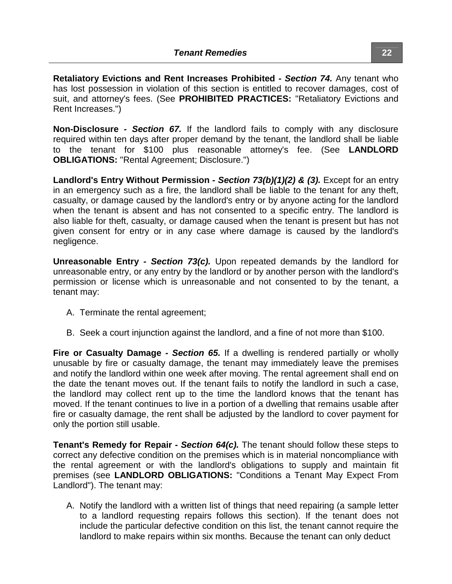**Retaliatory Evictions and Rent Increases Prohibited** *- Section 74.* Any tenant who has lost possession in violation of this section is entitled to recover damages, cost of suit, and attorney's fees. (See **PROHIBITED PRACTICES:** "Retaliatory Evictions and Rent Increases.")

**Non-Disclosure** *- Section 67.* If the landlord fails to comply with any disclosure required within ten days after proper demand by the tenant, the landlord shall be liable to the tenant for \$100 plus reasonable attorney's fee. (See **LANDLORD OBLIGATIONS:** "Rental Agreement; Disclosure.")

**Landlord's Entry Without Permission** *- Section 73(b)(1)(2) & (3).* Except for an entry in an emergency such as a fire, the landlord shall be liable to the tenant for any theft, casualty, or damage caused by the landlord's entry or by anyone acting for the landlord when the tenant is absent and has not consented to a specific entry. The landlord is also liable for theft, casualty, or damage caused when the tenant is present but has not given consent for entry or in any case where damage is caused by the landlord's negligence.

**Unreasonable Entry** *- Section 73(c).* Upon repeated demands by the landlord for unreasonable entry, or any entry by the landlord or by another person with the landlord's permission or license which is unreasonable and not consented to by the tenant, a tenant may:

- A. Terminate the rental agreement;
- B. Seek a court injunction against the landlord, and a fine of not more than \$100.

**Fire or Casualty Damage** *- Section 65.* If a dwelling is rendered partially or wholly unusable by fire or casualty damage, the tenant may immediately leave the premises and notify the landlord within one week after moving. The rental agreement shall end on the date the tenant moves out. If the tenant fails to notify the landlord in such a case, the landlord may collect rent up to the time the landlord knows that the tenant has moved. If the tenant continues to live in a portion of a dwelling that remains usable after fire or casualty damage, the rent shall be adjusted by the landlord to cover payment for only the portion still usable.

**Tenant's Remedy for Repair** *- Section 64(c).* The tenant should follow these steps to correct any defective condition on the premises which is in material noncompliance with the rental agreement or with the landlord's obligations to supply and maintain fit premises (see **LANDLORD OBLIGATIONS:** "Conditions a Tenant May Expect From Landlord"). The tenant may:

A. Notify the landlord with a written list of things that need repairing (a sample letter to a landlord requesting repairs follows this section). If the tenant does not include the particular defective condition on this list, the tenant cannot require the landlord to make repairs within six months. Because the tenant can only deduct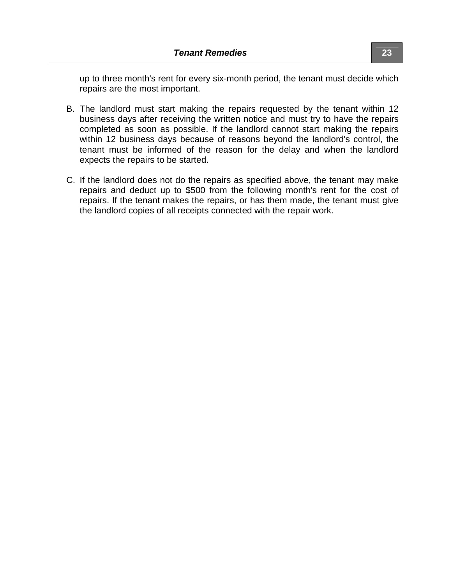up to three month's rent for every six-month period, the tenant must decide which repairs are the most important.

- B. The landlord must start making the repairs requested by the tenant within 12 business days after receiving the written notice and must try to have the repairs completed as soon as possible. If the landlord cannot start making the repairs within 12 business days because of reasons beyond the landlord's control, the tenant must be informed of the reason for the delay and when the landlord expects the repairs to be started.
- C. If the landlord does not do the repairs as specified above, the tenant may make repairs and deduct up to \$500 from the following month's rent for the cost of repairs. If the tenant makes the repairs, or has them made, the tenant must give the landlord copies of all receipts connected with the repair work.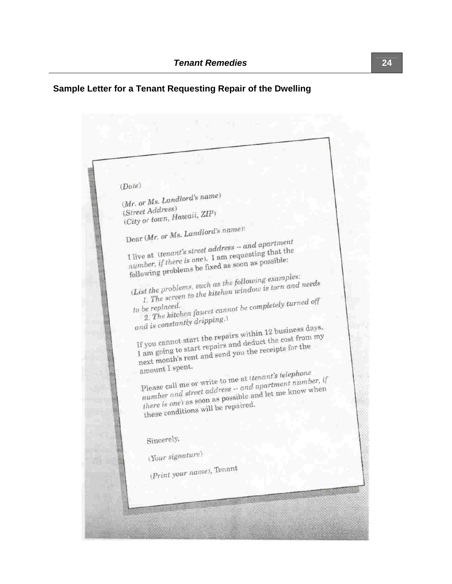### **Sample Letter for a Tenant Requesting Repair of the Dwelling**

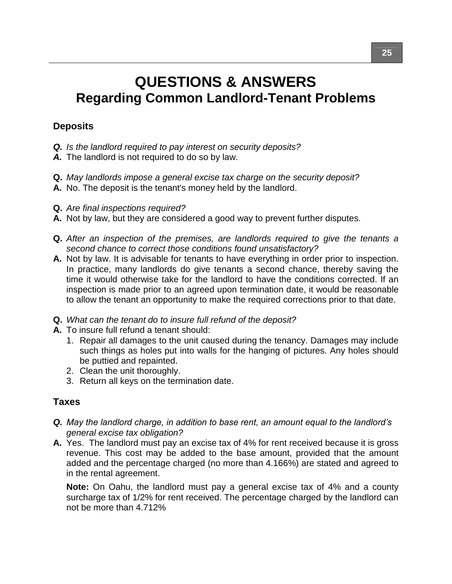### **QUESTIONS & ANSWERS Regarding Common Landlord-Tenant Problems**

### **Deposits**

- *Q. Is the landlord required to pay interest on security deposits?*
- *A.* The landlord is not required to do so by law.
- **Q.** *May landlords impose a general excise tax charge on the security deposit?*
- **A.** No. The deposit is the tenant's money held by the landlord.
- **Q.** *Are final inspections required?*
- **A.** Not by law, but they are considered a good way to prevent further disputes.
- **Q.** *After an inspection of the premises, are landlords required to give the tenants a second chance to correct those conditions found unsatisfactory?*
- **A.** Not by law. It is advisable for tenants to have everything in order prior to inspection. In practice, many landlords do give tenants a second chance, thereby saving the time it would otherwise take for the landlord to have the conditions corrected. If an inspection is made prior to an agreed upon termination date, it would be reasonable to allow the tenant an opportunity to make the required corrections prior to that date.
- **Q.** *What can the tenant do to insure full refund of the deposit?*
- **A.** To insure full refund a tenant should:
	- 1. Repair all damages to the unit caused during the tenancy. Damages may include such things as holes put into walls for the hanging of pictures. Any holes should be puttied and repainted.
	- 2. Clean the unit thoroughly.
	- 3. Return all keys on the termination date.

### **Taxes**

- **Q.** May the landlord charge, in addition to base rent, an amount equal to the landlord's *general excise tax obligation?*
- **A.** Yes. The landlord must pay an excise tax of 4% for rent received because it is gross revenue. This cost may be added to the base amount, provided that the amount added and the percentage charged (no more than 4.166%) are stated and agreed to in the rental agreement.

**Note:** On Oahu, the landlord must pay a general excise tax of 4% and a county surcharge tax of 1/2% for rent received. The percentage charged by the landlord can not be more than 4.712%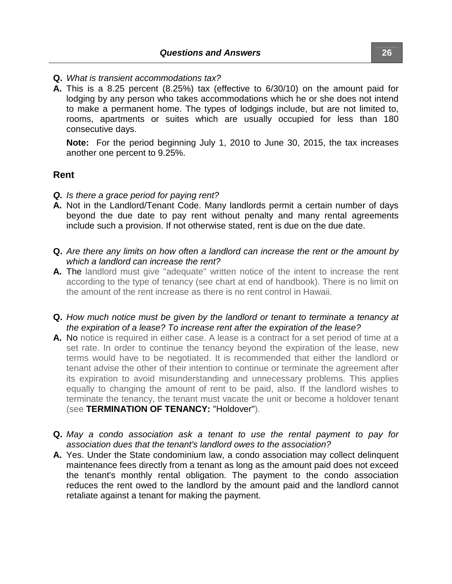- **Q.** *What is transient accommodations tax?*
- **A.** This is a 8.25 percent (8.25%) tax (effective to 6/30/10) on the amount paid for lodging by any person who takes accommodations which he or she does not intend to make a permanent home. The types of lodgings include, but are not limited to, rooms, apartments or suites which are usually occupied for less than 180 consecutive days.

**Note:** For the period beginning July 1, 2010 to June 30, 2015, the tax increases another one percent to 9.25%.

#### **Rent**

- *Q. Is there a grace period for paying rent?*
- **A.** Not in the Landlord/Tenant Code. Many landlords permit a certain number of days beyond the due date to pay rent without penalty and many rental agreements include such a provision. If not otherwise stated, rent is due on the due date.
- **Q.** *Are there any limits on how often a landlord can increase the rent or the amount by which a landlord can increase the rent?*
- **A.** The landlord must give "adequate" written notice of the intent to increase the rent according to the type of tenancy (see chart at end of handbook). There is no limit on the amount of the rent increase as there is no rent control in Hawaii.
- **Q.** *How much notice must be given by the landlord or tenant to terminate a tenancy at the expiration of a lease? To increase rent after the expiration of the lease?*
- **A.** No notice is required in either case. A lease is a contract for a set period of time at a set rate. In order to continue the tenancy beyond the expiration of the lease, new terms would have to be negotiated. It is recommended that either the landlord or tenant advise the other of their intention to continue or terminate the agreement after its expiration to avoid misunderstanding and unnecessary problems. This applies equally to changing the amount of rent to be paid, also. If the landlord wishes to terminate the tenancy, the tenant must vacate the unit or become a holdover tenant (see **TERMINATION OF TENANCY:** "Holdover").
- **Q.** *May a condo association ask a tenant to use the rental payment to pay for association dues that the tenant's landlord owes to the association?*
- **A.** Yes. Under the State condominium law, a condo association may collect delinquent maintenance fees directly from a tenant as long as the amount paid does not exceed the tenant's monthly rental obligation. The payment to the condo association reduces the rent owed to the landlord by the amount paid and the landlord cannot retaliate against a tenant for making the payment.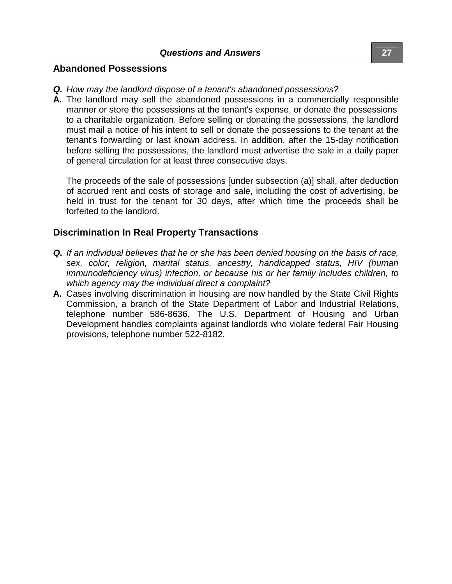#### **Abandoned Possessions**

- *Q. How may the landlord dispose of a tenant's abandoned possessions?*
- **A.** The landlord may sell the abandoned possessions in a commercially responsible manner or store the possessions at the tenant's expense, or donate the possessions to a charitable organization. Before selling or donating the possessions, the landlord must mail a notice of his intent to sell or donate the possessions to the tenant at the tenant's forwarding or last known address. In addition, after the 15-day notification before selling the possessions, the landlord must advertise the sale in a daily paper of general circulation for at least three consecutive days.

The proceeds of the sale of possessions [under subsection (a)] shall, after deduction of accrued rent and costs of storage and sale, including the cost of advertising, be held in trust for the tenant for 30 days, after which time the proceeds shall be forfeited to the landlord.

### **Discrimination In Real Property Transactions**

- *Q. If an individual believes that he or she has been denied housing on the basis of race, sex, color, religion, marital status, ancestry, handicapped status, HIV (human immunodeficiency virus) infection, or because his or her family includes children, to which agency may the individual direct a complaint?*
- **A.** Cases involving discrimination in housing are now handled by the State Civil Rights Commission, a branch of the State Department of Labor and Industrial Relations, telephone number 586-8636. The U.S. Department of Housing and Urban Development handles complaints against landlords who violate federal Fair Housing provisions, telephone number 522-8182.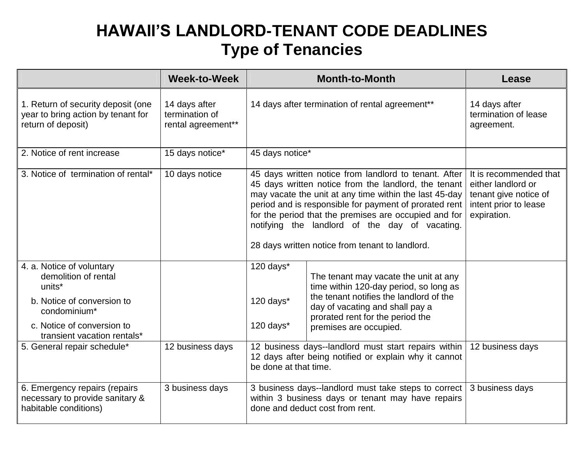# **HAWAII'SLANDLORD-TENANT CODE DEADLINES Type of Tenancies**

|                                                                                                                                                                                    | <b>Week-to-Week</b>                                   |                                                                                                                                                                                                                                                                                                                                                                                                 | <b>Month-to-Month</b>                                                                                                                                                                                                       | Lease                                                                                                         |
|------------------------------------------------------------------------------------------------------------------------------------------------------------------------------------|-------------------------------------------------------|-------------------------------------------------------------------------------------------------------------------------------------------------------------------------------------------------------------------------------------------------------------------------------------------------------------------------------------------------------------------------------------------------|-----------------------------------------------------------------------------------------------------------------------------------------------------------------------------------------------------------------------------|---------------------------------------------------------------------------------------------------------------|
| 1. Return of security deposit (one<br>year to bring action by tenant for<br>return of deposit)                                                                                     | 14 days after<br>termination of<br>rental agreement** | 14 days after termination of rental agreement**                                                                                                                                                                                                                                                                                                                                                 |                                                                                                                                                                                                                             | 14 days after<br>termination of lease<br>agreement.                                                           |
| 2. Notice of rent increase                                                                                                                                                         | 15 days notice*                                       | 45 days notice*                                                                                                                                                                                                                                                                                                                                                                                 |                                                                                                                                                                                                                             |                                                                                                               |
| 3. Notice of termination of rental*                                                                                                                                                | 10 days notice                                        | 45 days written notice from landlord to tenant. After<br>45 days written notice from the landlord, the tenant<br>may vacate the unit at any time within the last 45-day<br>period and is responsible for payment of prorated rent<br>for the period that the premises are occupied and for<br>notifying the landlord of the day of vacating.<br>28 days written notice from tenant to landlord. |                                                                                                                                                                                                                             | It is recommended that<br>either landlord or<br>tenant give notice of<br>intent prior to lease<br>expiration. |
| 4. a. Notice of voluntary<br>demolition of rental<br>units <sup>*</sup><br>b. Notice of conversion to<br>condominium*<br>c. Notice of conversion to<br>transient vacation rentals* |                                                       | 120 days*<br>120 days*<br>120 days*                                                                                                                                                                                                                                                                                                                                                             | The tenant may vacate the unit at any<br>time within 120-day period, so long as<br>the tenant notifies the landlord of the<br>day of vacating and shall pay a<br>prorated rent for the period the<br>premises are occupied. |                                                                                                               |
| 5. General repair schedule*                                                                                                                                                        | 12 business days                                      | 12 business days--landlord must start repairs within   12 business days<br>12 days after being notified or explain why it cannot<br>be done at that time.                                                                                                                                                                                                                                       |                                                                                                                                                                                                                             |                                                                                                               |
| 6. Emergency repairs (repairs<br>necessary to provide sanitary &<br>habitable conditions)                                                                                          | 3 business days                                       |                                                                                                                                                                                                                                                                                                                                                                                                 | 3 business days--landlord must take steps to correct<br>within 3 business days or tenant may have repairs<br>done and deduct cost from rent.                                                                                | 3 business days                                                                                               |